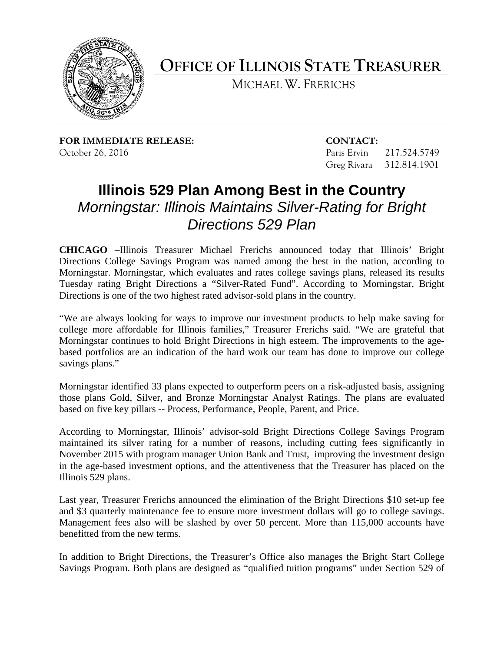

**OFFICE OF ILLINOIS STATE TREASURER**

MICHAEL W. FRERICHS

**FOR IMMEDIATE RELEASE: CONTACT:** October 26, 2016 Paris Ervin 217.524.5749

Greg Rivara 312.814.1901

## **Illinois 529 Plan Among Best in the Country** *Morningstar: Illinois Maintains Silver-Rating for Bright Directions 529 Plan*

**CHICAGO** –Illinois Treasurer Michael Frerichs announced today that Illinois' Bright Directions College Savings Program was named among the best in the nation, according to Morningstar. Morningstar, which evaluates and rates college savings plans, released its results Tuesday rating Bright Directions a "Silver-Rated Fund". According to Morningstar, Bright Directions is one of the two highest rated advisor-sold plans in the country.

"We are always looking for ways to improve our investment products to help make saving for college more affordable for Illinois families," Treasurer Frerichs said. "We are grateful that Morningstar continues to hold Bright Directions in high esteem. The improvements to the agebased portfolios are an indication of the hard work our team has done to improve our college savings plans."

Morningstar identified 33 plans expected to outperform peers on a risk-adjusted basis, assigning those plans Gold, Silver, and Bronze Morningstar Analyst Ratings. The plans are evaluated based on five key pillars -- Process, Performance, People, Parent, and Price.

According to Morningstar, Illinois' advisor-sold Bright Directions College Savings Program maintained its silver rating for a number of reasons, including cutting fees significantly in November 2015 with program manager Union Bank and Trust, improving the investment design in the age-based investment options, and the attentiveness that the Treasurer has placed on the Illinois 529 plans.

Last year, Treasurer Frerichs announced the elimination of the Bright Directions \$10 set-up fee and \$3 quarterly maintenance fee to ensure more investment dollars will go to college savings. Management fees also will be slashed by over 50 percent. More than 115,000 accounts have benefitted from the new terms.

In addition to Bright Directions, the Treasurer's Office also manages the Bright Start College Savings Program. Both plans are designed as "qualified tuition programs" under Section 529 of